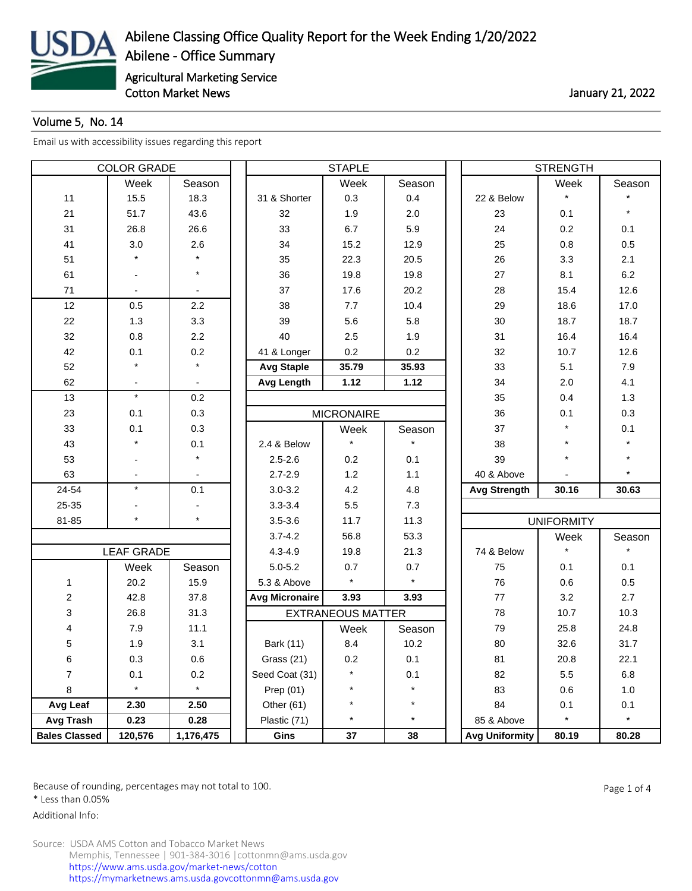

## Volume 5, No. 14

[Email us with accessibility issues regarding this report](mailto:mars@ams.usda.gov)

| <b>COLOR GRADE</b>   |                   |           | <b>STAPLE</b>         |                          |         |  | <b>STRENGTH</b>       |                   |         |  |
|----------------------|-------------------|-----------|-----------------------|--------------------------|---------|--|-----------------------|-------------------|---------|--|
|                      | Week              | Season    |                       | Week                     | Season  |  |                       | Week              | Season  |  |
| 11                   | 15.5              | 18.3      | 31 & Shorter          | 0.3                      | 0.4     |  | 22 & Below            | $\star$           |         |  |
| 21                   | 51.7              | 43.6      | 32                    | 1.9                      | 2.0     |  | 23                    | 0.1               |         |  |
| 31                   | 26.8              | 26.6      | 33                    | 6.7                      | 5.9     |  | 24                    | 0.2               | 0.1     |  |
| 41                   | 3.0               | 2.6       | 34                    | 15.2                     | 12.9    |  | 25                    | 0.8               | 0.5     |  |
| 51                   |                   |           | 35                    | 22.3                     | 20.5    |  | 26                    | 3.3               | 2.1     |  |
| 61                   |                   | $\star$   | 36                    | 19.8                     | 19.8    |  | 27                    | 8.1               | 6.2     |  |
| 71                   |                   |           | 37                    | 17.6                     | 20.2    |  | 28                    | 15.4              | 12.6    |  |
| 12                   | 0.5               | 2.2       | 38                    | 7.7                      | 10.4    |  | 29                    | 18.6              | 17.0    |  |
| 22                   | 1.3               | 3.3       | 39                    | 5.6                      | 5.8     |  | 30                    | 18.7              | 18.7    |  |
| 32                   | 0.8               | 2.2       | 40                    | 2.5                      | 1.9     |  | 31                    | 16.4              | 16.4    |  |
| 42                   | 0.1               | 0.2       | 41 & Longer           | 0.2                      | 0.2     |  | 32                    | 10.7              | 12.6    |  |
| 52                   |                   |           | <b>Avg Staple</b>     | 35.79                    | 35.93   |  | 33                    | 5.1               | 7.9     |  |
| 62                   |                   |           | <b>Avg Length</b>     | 1.12                     | 1.12    |  | 34                    | 2.0               | 4.1     |  |
| 13                   | $\star$           | 0.2       |                       |                          |         |  | 35                    | 0.4               | 1.3     |  |
| 23                   | 0.1               | 0.3       |                       | <b>MICRONAIRE</b>        |         |  | 36                    | 0.1               | 0.3     |  |
| 33                   | 0.1               | 0.3       |                       | Week                     | Season  |  | 37                    | $\star$           | 0.1     |  |
| 43                   |                   | 0.1       | 2.4 & Below           |                          |         |  | 38                    |                   |         |  |
| 53                   |                   | $\star$   | $2.5 - 2.6$           | 0.2                      | 0.1     |  | 39                    | $\star$           |         |  |
| 63                   |                   |           | $2.7 - 2.9$           | 1.2                      | 1.1     |  | 40 & Above            |                   |         |  |
| 24-54                | $\star$           | 0.1       | $3.0 - 3.2$           | 4.2                      | 4.8     |  | <b>Avg Strength</b>   | 30.16             | 30.63   |  |
| 25-35                |                   |           | $3.3 - 3.4$           | 5.5                      | 7.3     |  |                       |                   |         |  |
| 81-85                | $\star$           | $\star$   | $3.5 - 3.6$           | 11.7                     | 11.3    |  |                       | <b>UNIFORMITY</b> |         |  |
|                      |                   |           | $3.7 - 4.2$           | 56.8                     | 53.3    |  |                       | Week              | Season  |  |
|                      | <b>LEAF GRADE</b> |           | $4.3 - 4.9$           | 19.8                     | 21.3    |  | 74 & Below            |                   |         |  |
|                      | Week              | Season    | $5.0 - 5.2$           | 0.7                      | 0.7     |  | 75                    | 0.1               | 0.1     |  |
| 1                    | 20.2              | 15.9      | 5.3 & Above           | $\star$                  | $\star$ |  | 76                    | 0.6               | 0.5     |  |
| $\overline{c}$       | 42.8              | 37.8      | <b>Avg Micronaire</b> | 3.93                     | 3.93    |  | 77                    | 3.2               | 2.7     |  |
| 3                    | 26.8              | 31.3      |                       | <b>EXTRANEOUS MATTER</b> |         |  | 78                    | 10.7              | 10.3    |  |
| 4                    | 7.9               | 11.1      |                       | Week                     | Season  |  | 79                    | 25.8              | 24.8    |  |
| 5                    | 1.9               | 3.1       | Bark (11)             | 8.4                      | 10.2    |  | 80                    | 32.6              | 31.7    |  |
| 6                    | 0.3               | 0.6       | Grass (21)            | 0.2                      | 0.1     |  | 81                    | 20.8              | 22.1    |  |
| $\overline{7}$       | 0.1               | 0.2       | Seed Coat (31)        |                          | 0.1     |  | 82                    | 5.5               | $6.8\,$ |  |
| 8                    | $\star$           | $\star$   | Prep $(01)$           | $\star$                  | $\star$ |  | 83                    | 0.6               | 1.0     |  |
| Avg Leaf             | 2.30              | 2.50      | Other (61)            | $\star$                  | $\star$ |  | 84                    | 0.1               | 0.1     |  |
| <b>Avg Trash</b>     | 0.23              | 0.28      | Plastic (71)          | $\star$                  | $\star$ |  | 85 & Above            | $\star$           | $\star$ |  |
| <b>Bales Classed</b> | 120,576           | 1,176,475 | Gins                  | 37                       | 38      |  | <b>Avg Uniformity</b> | 80.19             | 80.28   |  |

Because of rounding, percentages may not total to 100. And the set of the set of 4 and the Page 1 of 4

\* Less than 0.05%

Additional Info: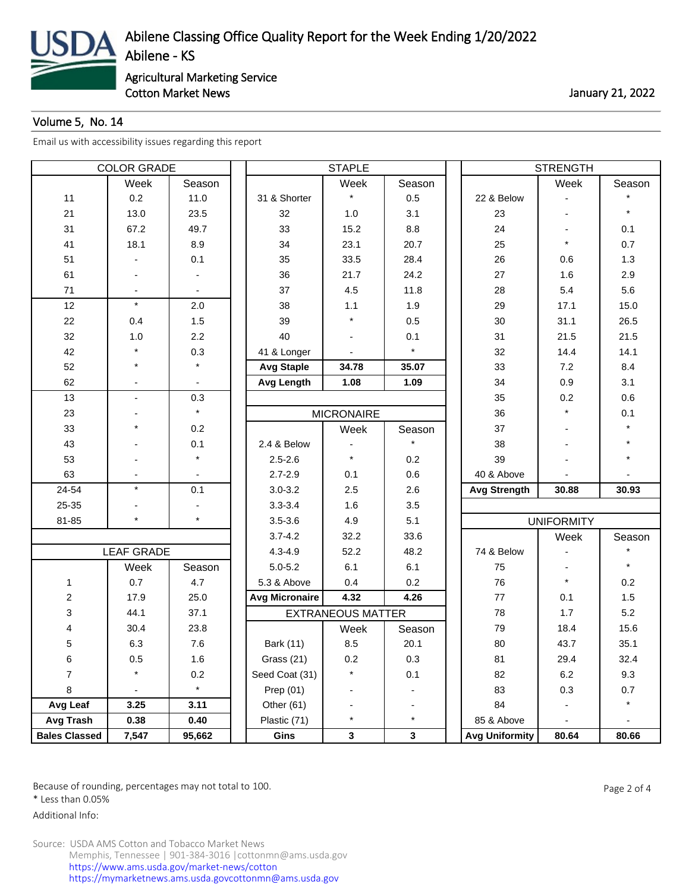

Cotton Market News **Cotton Market News** 21, 2022

## Volume 5, No. 14

[Email us with accessibility issues regarding this report](mailto:mars@ams.usda.gov)

| <b>COLOR GRADE</b>   |                   |         |                       | <b>STAPLE</b>            |         | <b>STRENGTH</b>       |                   |        |  |
|----------------------|-------------------|---------|-----------------------|--------------------------|---------|-----------------------|-------------------|--------|--|
|                      | Week              | Season  |                       | Week                     | Season  |                       | Week              | Season |  |
| 11                   | 0.2               | 11.0    | 31 & Shorter          | $\star$                  | 0.5     | 22 & Below            |                   |        |  |
| 21                   | 13.0              | 23.5    | 32                    | 1.0                      | 3.1     | 23                    |                   |        |  |
| 31                   | 67.2              | 49.7    | 33                    | 15.2                     | 8.8     | 24                    |                   | 0.1    |  |
| 41                   | 18.1              | 8.9     | 34                    | 23.1                     | 20.7    | 25                    | $\star$           | 0.7    |  |
| 51                   |                   | 0.1     | 35                    | 33.5                     | 28.4    | 26                    | 0.6               | 1.3    |  |
| 61                   |                   |         | 36                    | 21.7                     | 24.2    | 27                    | 1.6               | 2.9    |  |
| 71                   |                   |         | 37                    | 4.5                      | 11.8    | 28                    | 5.4               | 5.6    |  |
| 12                   | $\star$           | 2.0     | 38                    | 1.1                      | 1.9     | 29                    | 17.1              | 15.0   |  |
| 22                   | 0.4               | 1.5     | 39                    |                          | 0.5     | 30                    | 31.1              | 26.5   |  |
| 32                   | 1.0               | 2.2     | 40                    |                          | 0.1     | 31                    | 21.5              | 21.5   |  |
| 42                   |                   | 0.3     | 41 & Longer           |                          | $\star$ | 32                    | 14.4              | 14.1   |  |
| 52                   | $\star$           |         | <b>Avg Staple</b>     | 34.78                    | 35.07   | 33                    | 7.2               | 8.4    |  |
| 62                   |                   |         | <b>Avg Length</b>     | 1.08                     | 1.09    | 34                    | 0.9               | 3.1    |  |
| 13                   | $\blacksquare$    | 0.3     |                       |                          |         | 35                    | 0.2               | 0.6    |  |
| 23                   |                   | $\star$ |                       | <b>MICRONAIRE</b>        |         | 36                    | $\star$           | 0.1    |  |
| 33                   | $\star$           | 0.2     |                       | Week                     | Season  | 37                    |                   |        |  |
| 43                   |                   | 0.1     | 2.4 & Below           |                          |         | 38                    |                   |        |  |
| 53                   |                   | $\star$ | $2.5 - 2.6$           | $\star$                  | 0.2     | 39                    |                   |        |  |
| 63                   |                   |         | $2.7 - 2.9$           | 0.1                      | 0.6     | 40 & Above            |                   |        |  |
| 24-54                | $\star$           | 0.1     | $3.0 - 3.2$           | 2.5                      | 2.6     | <b>Avg Strength</b>   | 30.88             | 30.93  |  |
| 25-35                |                   |         | $3.3 - 3.4$           | 1.6                      | 3.5     |                       |                   |        |  |
| 81-85                | $\star$           | $\star$ | $3.5 - 3.6$           | 4.9                      | 5.1     |                       | <b>UNIFORMITY</b> |        |  |
|                      |                   |         | $3.7 - 4.2$           | 32.2                     | 33.6    |                       | Week              | Season |  |
|                      | <b>LEAF GRADE</b> |         | $4.3 - 4.9$           | 52.2                     | 48.2    | 74 & Below            |                   |        |  |
|                      | Week              | Season  | $5.0 - 5.2$           | 6.1                      | 6.1     | 75                    |                   |        |  |
| 1                    | 0.7               | 4.7     | 5.3 & Above           | 0.4                      | 0.2     | 76                    | $\star$           | 0.2    |  |
| $\overline{c}$       | 17.9              | 25.0    | <b>Avg Micronaire</b> | 4.32                     | 4.26    | 77                    | 0.1               | 1.5    |  |
| 3                    | 44.1              | 37.1    |                       | <b>EXTRANEOUS MATTER</b> |         | 78                    | 1.7               | 5.2    |  |
| 4                    | 30.4              | 23.8    |                       | Week                     | Season  | 79                    | 18.4              | 15.6   |  |
| 5                    | 6.3               | 7.6     | <b>Bark (11)</b>      | 8.5                      | 20.1    | 80                    | 43.7              | 35.1   |  |
| 6                    | 0.5               | 1.6     | Grass (21)            | $0.2\,$                  | 0.3     | 81                    | 29.4              | 32.4   |  |
| $\overline{7}$       | $\star$           | 0.2     | Seed Coat (31)        | $\star$                  | 0.1     | 82                    | $6.2\,$           | 9.3    |  |
| 8                    |                   | $\star$ | Prep $(01)$           |                          |         | 83                    | 0.3               | 0.7    |  |
| Avg Leaf             | 3.25              | 3.11    | Other (61)            |                          |         | 84                    |                   |        |  |
| Avg Trash            | 0.38              | 0.40    | Plastic (71)          | $\star$                  | $\star$ | 85 & Above            |                   |        |  |
| <b>Bales Classed</b> | 7,547             | 95,662  | Gins                  | $\mathbf{3}$             | 3       | <b>Avg Uniformity</b> | 80.64             | 80.66  |  |

Because of rounding, percentages may not total to 100. And the set of the set of 4 and 2 of 4

\* Less than 0.05%

Additional Info: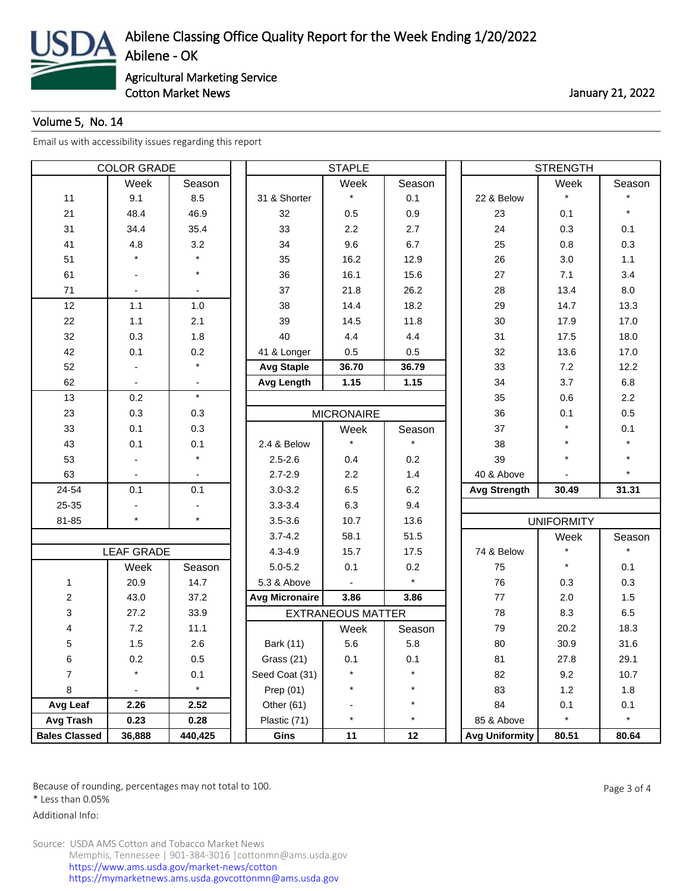

Cotton Market News **Cotton Market News** 21, 2022

## Volume 5, No. 14

[Email us with accessibility issues regarding this report](mailto:mars@ams.usda.gov)

| <b>COLOR GRADE</b>      |                          |         | <b>STAPLE</b>         |                          |          |  | <b>STRENGTH</b>       |                   |         |  |  |
|-------------------------|--------------------------|---------|-----------------------|--------------------------|----------|--|-----------------------|-------------------|---------|--|--|
|                         | Week                     | Season  |                       | Week                     | Season   |  |                       | Week              | Season  |  |  |
| 11                      | 9.1                      | 8.5     | 31 & Shorter          | $\star$                  | 0.1      |  | 22 & Below            | $\star$           |         |  |  |
| 21                      | 48.4                     | 46.9    | 32                    | 0.5                      | 0.9      |  | 23                    | 0.1               | $\star$ |  |  |
| 31                      | 34.4                     | 35.4    | 33                    | 2.2                      | 2.7      |  | 24                    | 0.3               | 0.1     |  |  |
| 41                      | 4.8                      | 3.2     | 34                    | 9.6                      | 6.7      |  | 25                    | 0.8               | 0.3     |  |  |
| 51                      |                          |         | 35                    | 16.2                     | 12.9     |  | 26                    | 3.0               | 1.1     |  |  |
| 61                      |                          | $\star$ | 36                    | 16.1                     | 15.6     |  | 27                    | 7.1               | 3.4     |  |  |
| 71                      |                          |         | 37                    | 21.8                     | 26.2     |  | 28                    | 13.4              | 8.0     |  |  |
| 12                      | 1.1                      | $1.0$   | 38                    | 14.4                     | 18.2     |  | 29                    | 14.7              | 13.3    |  |  |
| 22                      | 1.1                      | 2.1     | 39                    | 14.5                     | 11.8     |  | 30                    | 17.9              | 17.0    |  |  |
| 32                      | 0.3                      | 1.8     | 40                    | 4.4                      | 4.4      |  | 31                    | 17.5              | 18.0    |  |  |
| 42                      | 0.1                      | 0.2     | 41 & Longer           | 0.5                      | 0.5      |  | 32                    | 13.6              | 17.0    |  |  |
| 52                      |                          | $\star$ | <b>Avg Staple</b>     | 36.70                    | 36.79    |  | 33                    | 7.2               | 12.2    |  |  |
| 62                      |                          |         | <b>Avg Length</b>     | 1.15                     | 1.15     |  | 34                    | 3.7               | 6.8     |  |  |
| 13                      | 0.2                      | $\star$ |                       |                          |          |  | 35                    | 0.6               | 2.2     |  |  |
| 23                      | 0.3                      | 0.3     |                       | <b>MICRONAIRE</b>        |          |  | 36                    | 0.1               | 0.5     |  |  |
| 33                      | 0.1                      | 0.3     |                       | Week                     | Season   |  | 37                    | $\star$           | 0.1     |  |  |
| 43                      | 0.1                      | 0.1     | 2.4 & Below           |                          |          |  | 38                    | $\star$           |         |  |  |
| 53                      |                          |         | $2.5 - 2.6$           | 0.4                      | 0.2      |  | 39                    | $\star$           |         |  |  |
| 63                      |                          |         | $2.7 - 2.9$           | 2.2                      | 1.4      |  | 40 & Above            |                   |         |  |  |
| 24-54                   | 0.1                      | 0.1     | $3.0 - 3.2$           | 6.5                      | 6.2      |  | <b>Avg Strength</b>   | 30.49             | 31.31   |  |  |
| 25-35                   |                          |         | $3.3 - 3.4$           | 6.3                      | 9.4      |  |                       |                   |         |  |  |
| 81-85                   | $\star$                  | $\star$ | $3.5 - 3.6$           | 10.7                     | 13.6     |  |                       | <b>UNIFORMITY</b> |         |  |  |
|                         |                          |         | $3.7 - 4.2$           | 58.1                     | 51.5     |  |                       | Week              | Season  |  |  |
|                         | <b>LEAF GRADE</b>        |         | $4.3 - 4.9$           | 15.7                     | 17.5     |  | 74 & Below            | $\star$           |         |  |  |
|                         | Week                     | Season  | $5.0 - 5.2$           | 0.1                      | 0.2      |  | 75                    | $\star$           | 0.1     |  |  |
| $\mathbf{1}$            | 20.9                     | 14.7    | 5.3 & Above           |                          | $\star$  |  | 76                    | 0.3               | 0.3     |  |  |
| $\overline{\mathbf{c}}$ | 43.0                     | 37.2    | <b>Avg Micronaire</b> | 3.86                     | 3.86     |  | 77                    | 2.0               | 1.5     |  |  |
| 3                       | 27.2                     | 33.9    |                       | <b>EXTRANEOUS MATTER</b> |          |  | 78                    | 8.3               | 6.5     |  |  |
| 4                       | 7.2                      | 11.1    |                       | Week                     | Season   |  | 79                    | 20.2              | 18.3    |  |  |
| 5                       | 1.5                      | 2.6     | Bark (11)             | 5.6                      | 5.8      |  | 80                    | 30.9              | 31.6    |  |  |
| 6                       | $0.2\,$                  | 0.5     | Grass (21)            | 0.1                      | 0.1      |  | 81                    | 27.8              | 29.1    |  |  |
| $\overline{7}$          | $\star$                  | 0.1     | Seed Coat (31)        | $\star$                  | $\star$  |  | 82                    | 9.2               | 10.7    |  |  |
| 8                       | $\overline{\phantom{a}}$ | $\star$ | Prep $(01)$           | $\star$                  | $^\star$ |  | 83                    | 1.2               | 1.8     |  |  |
| Avg Leaf                | 2.26                     | 2.52    | Other (61)            |                          | $^\star$ |  | 84                    | 0.1               | 0.1     |  |  |
| Avg Trash               | 0.23                     | 0.28    | Plastic (71)          | $\star$                  | $\star$  |  | 85 & Above            | $\star$           | $\star$ |  |  |
| <b>Bales Classed</b>    | 36,888                   | 440,425 | Gins                  | 11                       | 12       |  | <b>Avg Uniformity</b> | 80.51             | 80.64   |  |  |

Because of rounding, percentages may not total to 100. And the set of the set of the Page 3 of 4

\* Less than 0.05%

Additional Info: